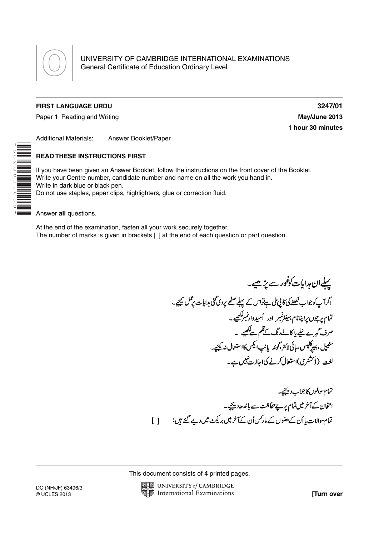

## **FIRST LANGUAGE URDU 3247/01**

Paper 1 Reading and Writing **May 19th Contract Contract Contract Contract Contract Contract Contract Contract Contract Contract Contract Contract Contract Contract Contract Contract Contract Contract Contract Contract Cont** 

**1 hour 30 minutes**

Additional Materials: Answer Booklet/Paper

## **READ THESE INSTRUCTIONS FIRST**

If you have been given an Answer Booklet, follow the instructions on the front cover of the Booklet. Write your Centre number, candidate number and name on all the work you hand in. Write in dark blue or black pen. Do not use staples, paper clips, highlighters, glue or correction fluid.

Answer **all** questions.

\*6828033030\*

At the end of the examination, fasten all your work securely together. The number of marks is given in brackets [ ] at the end of each question or part question.

پہلےان ہدایات کوثور سے پڑھیے۔ اگرآپ کوجواب لکھنے کی کا پی ملی ہےنواس کے پہلے صفحے پردی گئی ہدایات پڑکل کیجیے۔ .<br>تمام پرچوں پراپنانام، سینٹرنمبر اور اُمیددارنمبرککھیے۔ ۔<br>صرف گہرے نیلے پا کا لےرنگ کےقلم سےکھیے ۔ سٹیپل، پیرکلپس، <sub>ا</sub>پائی لائٹر،گوند یاٹپ ایکس کااستعال نہ <u>ب</u>ھیجے۔ لغت (ڈسشری)استعال کرنے کیااجازت نہیں ہے۔

تمام والوں کا جواب دیکھیے۔ امتحان کےآخر میں تمام پر ہےحفاظت سے باندھ<sup>ر یہ</sup>یجے۔ تمام والات پا اُن کے حقوں کے مارکس اُن کےآخر میں بریکٹ میں دیے گئے ہیں:  $\Box$ 

This document consists of **4** printed pages.

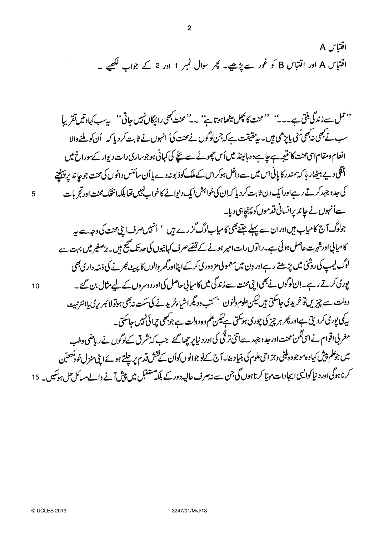2 1

دیمل سے زندگی بنتی ہے۔۔۔'' ''محنت کا پھِل میٹھاہوتا ہے'' ۔۔''محنت بھی رائیگاں نہیں جاتی'' پیسب کہادتیں تقریباً سب نے بھی نہ بھی ٔی پاپڑھی ہیں۔ پر حقیقت ہے کہ جن لوگوں نے محنت کی' انہوں نے ثابت کر دیا کہ گن کو ملنے والا انعام دمقام اسی محنت کانتیجہ ہے جاہےدہ ہالینڈ میں اُس چھوٹے سے بچّے کی کہانی ہوجوساری رات دیوار کے سوراخ میں انگلی دیے بیٹھار ہا کہ سمندر کا پانی اس میں سے داخل ہوکراس کے ملک کوڈ بونہ دے پا اُن سائنس دانوں کی محنت جوجا ند بر پہنچنے کی جدوجہد کرتے رہےاورایک دن ثابت کر دیا کہ ان کی خواہش ایک دیوانے کا خواب نہیں تھا بلکہ انتقک محنت اورتج بات سے اُنہوں نے چاند پرانسانی قدموں کو پہنچاہی دیا۔

**2**

5

10

15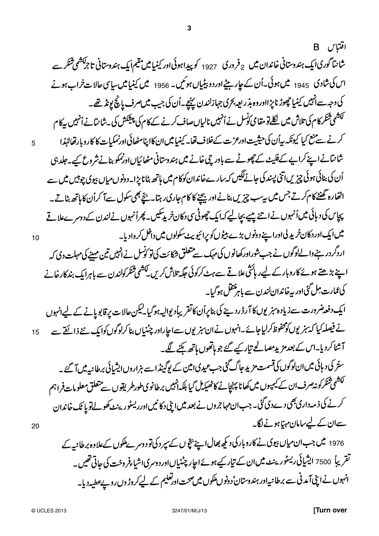اقتباس B 2 ك**رورق** 1927 اس کی شادی 1945 میں ہوئی۔اُن کے جاریبیٹےاوردو بیٹیاں ہوئیں۔ 1956 میں کینیامیں ساسی حالات خراب ہونے كى دجہ سے انہيں كينيا چھوڑ ناپڑااوروہ بذر بعہ بحرى جہازلندن پہنچے۔اُن كى جيب ميں صرف پانچ پونڈ تھے۔ ۔<br>لکشمی تنگر کام کی تلاش میں <u>نکل</u>قومقامی کوسل نے اُنہیں نالیاںصاف کرنے کے کام کی پیشکش کی بے نانیانے اُنہیں بیرکام کرنے سے منع کیا کیونکہ بیاُن کی حیثیت اورعزت کےخلاف تھا۔ کینیامیں ان کااپنامٹھائی اورنمکیات کا کاروبارتھالٹپذا شانتانے اپنے کراپے کے فلیٹ کے چھوٹے سے باور چی خانے میں ہندوستانی مٹھائیاںاورنمکو بنانے شروع کیے۔جلد ہی اُن کی بنائی ہوئی چیزیں اتنی پسند کی جانے لکیں کہ سارےخاندان کوکام میں ہاتھ بٹانا پڑا۔دونوں میاں بیوی چوٹیں میں سے اٹھارہ گھنٹے کام کرتے جس میں بیرب چیزیں بنانے اور بیچنے کا کام جاری رہتا۔ بچّے بھی سکول سے آ کراُن کا ہاتھ بٹاتے۔ پچاس کی د ہائی میں اُنہوں نے اپنے پیسے بچالیے کہ ایک چھوٹی سی دکان خرید تکیں۔ پھراُنہوں نےلندن کے دوسرےعلاقے میں ایک اور دکان خرید لی اورا ہے دونوں بڑے بیٹوں کو پرائیو بیٹ سکولوں میں داخل کر وادیا۔ اردگر در ہنے دالےلوگوں نے جب شوراور کھانوں کی مہک سے متعلق شکائت کی تو کونسل نے انہیں تین مہینے کی مہلت دی کہ اپنے بڑھتے ہوئے کاروبار کے لیےر ہائثی علاقے سےہٹ کرکوئی جگہ تلاش کریں لکشمی تنگر کولندن سے باہرابک بند کارخانے كى عمارت مِل گَيْ اور بيرخاندان لندن سے باہر تنقل ہوگيا۔

ایک دفعہ ضرورت سے زیادہ سنر یوں کا آرڈ ردینے کی بناپراُن کاتقر یباًدیوالیہ ہوگیا۔لیکن حالات پر قابو پانے کے لیےانہوں نے فیصلہ کیا کہ سنر یوں کومحفوظ کرلیاجائے۔انہوں نے ان سنر یوں سےاجاراور چٹنیاں بنا کرلوگوں کوایک نئے ذائقے سے 15 آشنا کردیا۔اس کے بعد مزید مصالحے تیار کیے گئے جو ماتھوں ہاتھ بکنے لگے۔ ستر کی دہائی میں ان لوگوں کی قسمت مزید جاگ گئی جب عیدی امین کے پوگینڈ اسے ہزاروں ایشیائی برطانیہ میں آ گئے۔ لکشمی شکرکونہ صرف ان کے کیمپوں میں کھانا پہنچانے کاٹھیکہ کی بابلکہانہیں برطانوی طورطر یقوں سے متعلق معلومات فراہم

کرنے کی ذ مہ داری بھی دےدی گئی۔جب ان مہاجروں نے بعد میں اپنی دکا نیں اورریسٹورینٹ کھولےتو پا ٹک خاندان سےان کے لیےسامان مہیّا ہونے لگا۔

1976 میں جب ان میاں بیوی نے کاروبار کی دیکھ بھال اپنے بچّوں کے سپر دکی تو دوسرے ملکوں کےعلاوہ برطانبہ کے تقریباً 7500 ایشیائی ریسٹورینٹ میںان کے تیار کیے ہوئےاجار چٹنیاںاوردوسری اشیاءفروخت کی جاتی تھیں۔ انہوں نےاپنی آمدنی سے برطانیہاور ہندوستان ٔ دونوں ملکوں میں صحت اورتعلیم کے لیےکروڑ وں روپے عطیہ دیا۔

20

5

10